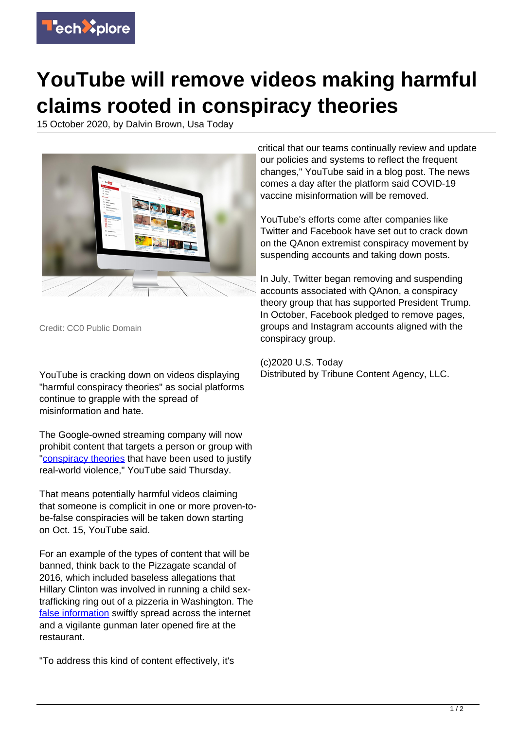

## **YouTube will remove videos making harmful claims rooted in conspiracy theories**

15 October 2020, by Dalvin Brown, Usa Today



Credit: CC0 Public Domain

YouTube is cracking down on videos displaying "harmful conspiracy theories" as social platforms continue to grapple with the spread of misinformation and hate.

The Google-owned streaming company will now prohibit content that targets a person or group with ["conspiracy theories](https://techxplore.com/tags/conspiracy+theories/) that have been used to justify real-world violence," YouTube said Thursday.

That means potentially harmful videos claiming that someone is complicit in one or more proven-tobe-false conspiracies will be taken down starting on Oct. 15, YouTube said.

For an example of the types of content that will be banned, think back to the Pizzagate scandal of 2016, which included baseless allegations that Hillary Clinton was involved in running a child sextrafficking ring out of a pizzeria in Washington. The [false information](https://techxplore.com/tags/false+information/) swiftly spread across the internet and a vigilante gunman later opened fire at the restaurant.

"To address this kind of content effectively, it's

critical that our teams continually review and update our policies and systems to reflect the frequent changes," YouTube said in a blog post. The news comes a day after the platform said COVID-19 vaccine misinformation will be removed.

YouTube's efforts come after companies like Twitter and Facebook have set out to crack down on the QAnon extremist conspiracy movement by suspending accounts and taking down posts.

In July, Twitter began removing and suspending accounts associated with QAnon, a conspiracy theory group that has supported President Trump. In October, Facebook pledged to remove pages, groups and Instagram accounts aligned with the conspiracy group.

(c)2020 U.S. Today Distributed by Tribune Content Agency, LLC.